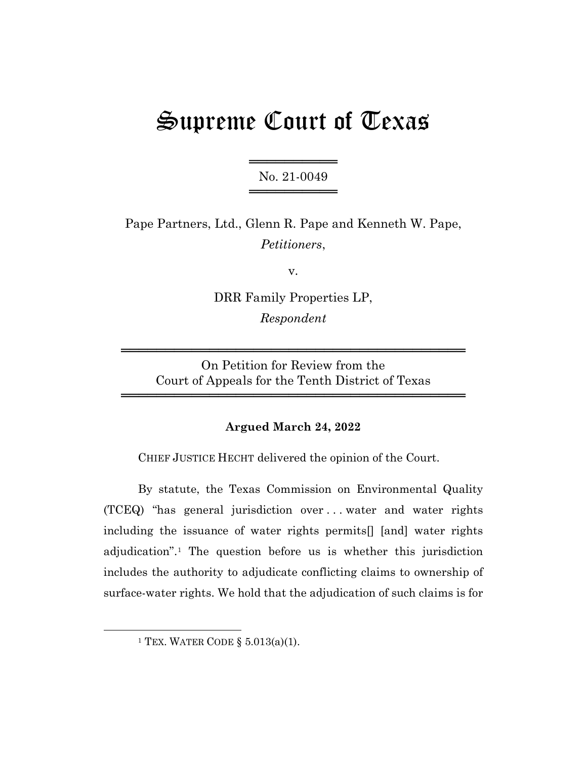# Supreme Court of Texas

══════════════════ No. 21-0049 ════════════════

Pape Partners, Ltd., Glenn R. Pape and Kenneth W. Pape, *Petitioners*,

v.

DRR Family Properties LP, *Respondent*

On Petition for Review from the Court of Appeals for the Tenth District of Texas

═══════════════════════════════════════

═══════════════════════════════════════

### **Argued March 24, 2022**

CHIEF JUSTICE HECHT delivered the opinion of the Court.

By statute, the Texas Commission on Environmental Quality (TCEQ) "has general jurisdiction over . . . water and water rights including the issuance of water rights permits[] [and] water rights adjudication".1 The question before us is whether this jurisdiction includes the authority to adjudicate conflicting claims to ownership of surface-water rights. We hold that the adjudication of such claims is for

<sup>&</sup>lt;sup>1</sup> TEX. WATER CODE  $\S$  5.013(a)(1).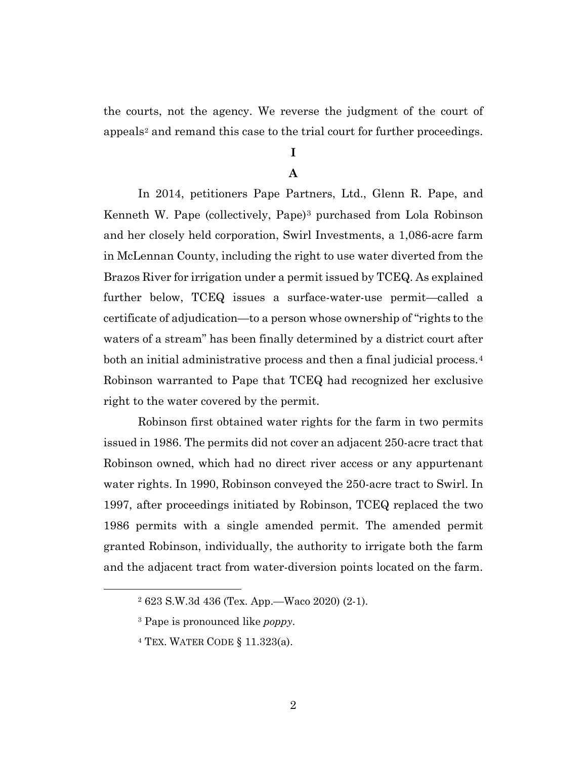the courts, not the agency. We reverse the judgment of the court of appeals<sup>2</sup> and remand this case to the trial court for further proceedings.

# **I**

#### **A**

In 2014, petitioners Pape Partners, Ltd., Glenn R. Pape, and Kenneth W. Pape (collectively, Pape)<sup>3</sup> purchased from Lola Robinson and her closely held corporation, Swirl Investments, a 1,086-acre farm in McLennan County, including the right to use water diverted from the Brazos River for irrigation under a permit issued by TCEQ. As explained further below, TCEQ issues a surface-water-use permit—called a certificate of adjudication—to a person whose ownership of "rights to the waters of a stream" has been finally determined by a district court after both an initial administrative process and then a final judicial process.<sup>4</sup> Robinson warranted to Pape that TCEQ had recognized her exclusive right to the water covered by the permit.

Robinson first obtained water rights for the farm in two permits issued in 1986. The permits did not cover an adjacent 250-acre tract that Robinson owned, which had no direct river access or any appurtenant water rights. In 1990, Robinson conveyed the 250-acre tract to Swirl. In 1997, after proceedings initiated by Robinson, TCEQ replaced the two 1986 permits with a single amended permit. The amended permit granted Robinson, individually, the authority to irrigate both the farm and the adjacent tract from water-diversion points located on the farm.

<sup>2</sup> 623 S.W.3d 436 (Tex. App.—Waco 2020) (2-1).

<sup>3</sup> Pape is pronounced like *poppy*.

 $4$  TEX. WATER CODE § 11.323(a).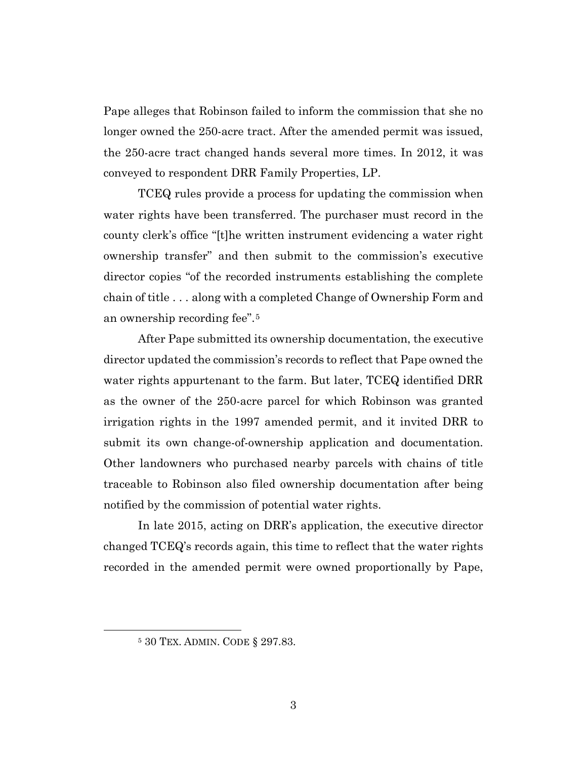Pape alleges that Robinson failed to inform the commission that she no longer owned the 250-acre tract. After the amended permit was issued, the 250-acre tract changed hands several more times. In 2012, it was conveyed to respondent DRR Family Properties, LP.

TCEQ rules provide a process for updating the commission when water rights have been transferred. The purchaser must record in the county clerk's office "[t]he written instrument evidencing a water right ownership transfer" and then submit to the commission's executive director copies "of the recorded instruments establishing the complete chain of title . . . along with a completed Change of Ownership Form and an ownership recording fee".5

After Pape submitted its ownership documentation, the executive director updated the commission's records to reflect that Pape owned the water rights appurtenant to the farm. But later, TCEQ identified DRR as the owner of the 250-acre parcel for which Robinson was granted irrigation rights in the 1997 amended permit, and it invited DRR to submit its own change-of-ownership application and documentation. Other landowners who purchased nearby parcels with chains of title traceable to Robinson also filed ownership documentation after being notified by the commission of potential water rights.

In late 2015, acting on DRR's application, the executive director changed TCEQ's records again, this time to reflect that the water rights recorded in the amended permit were owned proportionally by Pape,

<sup>5</sup> 30 TEX. ADMIN. CODE § 297.83.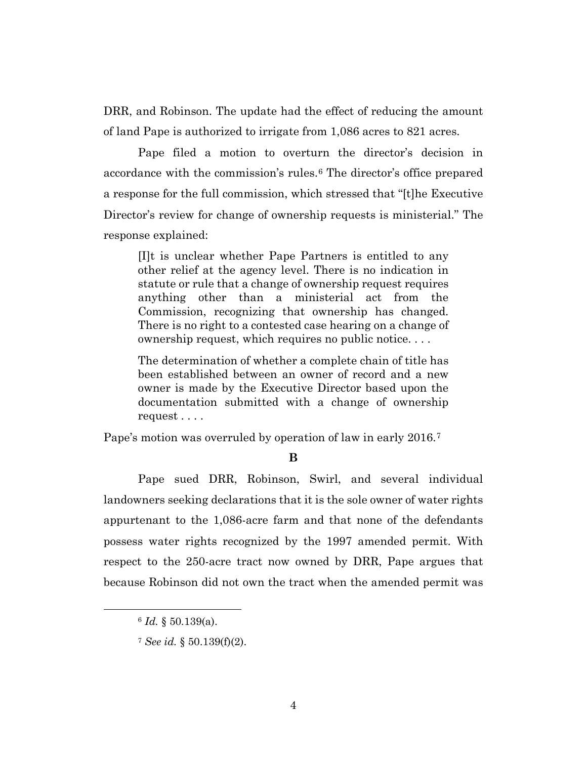DRR, and Robinson. The update had the effect of reducing the amount of land Pape is authorized to irrigate from 1,086 acres to 821 acres.

Pape filed a motion to overturn the director's decision in accordance with the commission's rules.6 The director's office prepared a response for the full commission, which stressed that "[t]he Executive Director's review for change of ownership requests is ministerial." The response explained:

[I]t is unclear whether Pape Partners is entitled to any other relief at the agency level. There is no indication in statute or rule that a change of ownership request requires anything other than a ministerial act from the Commission, recognizing that ownership has changed. There is no right to a contested case hearing on a change of ownership request, which requires no public notice. . . .

The determination of whether a complete chain of title has been established between an owner of record and a new owner is made by the Executive Director based upon the documentation submitted with a change of ownership request . . . .

Pape's motion was overruled by operation of law in early 2016.<sup>7</sup>

**B**

Pape sued DRR, Robinson, Swirl, and several individual landowners seeking declarations that it is the sole owner of water rights appurtenant to the 1,086-acre farm and that none of the defendants possess water rights recognized by the 1997 amended permit. With respect to the 250-acre tract now owned by DRR, Pape argues that because Robinson did not own the tract when the amended permit was

<sup>6</sup> *Id.* § 50.139(a).

<sup>7</sup> *See id.* § 50.139(f)(2).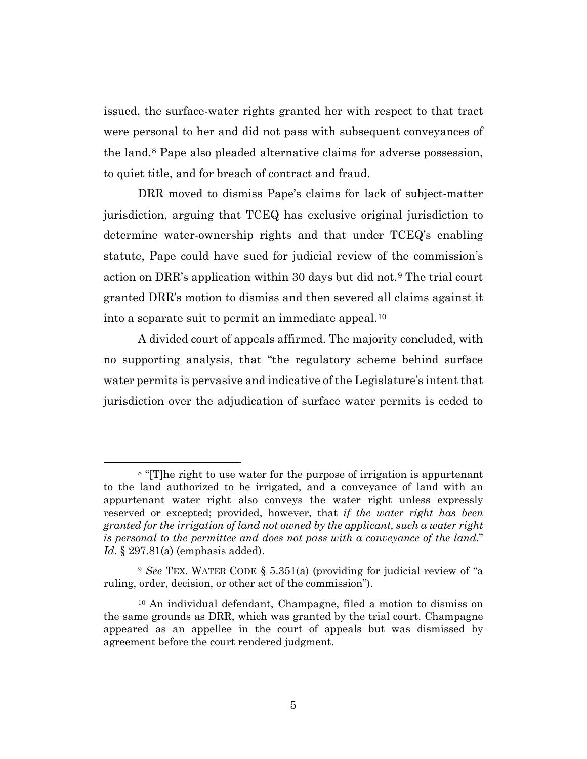issued, the surface-water rights granted her with respect to that tract were personal to her and did not pass with subsequent conveyances of the land.8 Pape also pleaded alternative claims for adverse possession, to quiet title, and for breach of contract and fraud.

DRR moved to dismiss Pape's claims for lack of subject-matter jurisdiction, arguing that TCEQ has exclusive original jurisdiction to determine water-ownership rights and that under TCEQ's enabling statute, Pape could have sued for judicial review of the commission's action on DRR's application within 30 days but did not.9 The trial court granted DRR's motion to dismiss and then severed all claims against it into a separate suit to permit an immediate appeal.10

A divided court of appeals affirmed. The majority concluded, with no supporting analysis, that "the regulatory scheme behind surface water permits is pervasive and indicative of the Legislature's intent that jurisdiction over the adjudication of surface water permits is ceded to

<sup>8</sup> "[T]he right to use water for the purpose of irrigation is appurtenant to the land authorized to be irrigated, and a conveyance of land with an appurtenant water right also conveys the water right unless expressly reserved or excepted; provided, however, that *if the water right has been granted for the irrigation of land not owned by the applicant, such a water right is personal to the permittee and does not pass with a conveyance of the land.*" *Id.* § 297.81(a) (emphasis added).

<sup>9</sup> *See* TEX. WATER CODE § 5.351(a) (providing for judicial review of "a ruling, order, decision, or other act of the commission").

<sup>10</sup> An individual defendant, Champagne, filed a motion to dismiss on the same grounds as DRR, which was granted by the trial court. Champagne appeared as an appellee in the court of appeals but was dismissed by agreement before the court rendered judgment.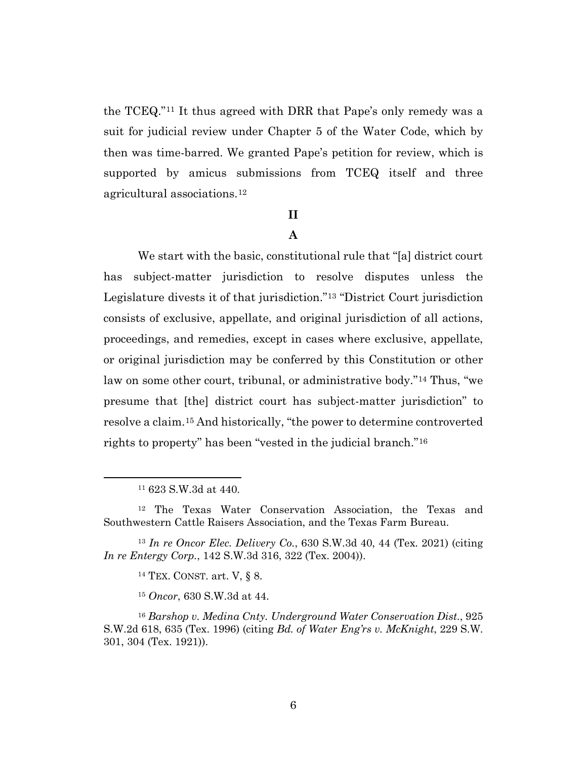the TCEQ."11 It thus agreed with DRR that Pape's only remedy was a suit for judicial review under Chapter 5 of the Water Code, which by then was time-barred. We granted Pape's petition for review, which is supported by amicus submissions from TCEQ itself and three agricultural associations.12

#### **II**

## **A**

We start with the basic, constitutional rule that "[a] district court has subject-matter jurisdiction to resolve disputes unless the Legislature divests it of that jurisdiction."13 "District Court jurisdiction consists of exclusive, appellate, and original jurisdiction of all actions, proceedings, and remedies, except in cases where exclusive, appellate, or original jurisdiction may be conferred by this Constitution or other law on some other court, tribunal, or administrative body."14 Thus, "we presume that [the] district court has subject-matter jurisdiction" to resolve a claim.15 And historically, "the power to determine controverted rights to property" has been "vested in the judicial branch."16

<sup>11</sup> 623 S.W.3d at 440.

<sup>12</sup> The Texas Water Conservation Association, the Texas and Southwestern Cattle Raisers Association, and the Texas Farm Bureau.

<sup>13</sup> *In re Oncor Elec. Delivery Co.*, 630 S.W.3d 40, 44 (Tex. 2021) (citing *In re Entergy Corp.*, 142 S.W.3d 316, 322 (Tex. 2004)).

<sup>14</sup> TEX. CONST. art. V, § 8.

<sup>15</sup> *Oncor*, 630 S.W.3d at 44.

<sup>16</sup> *Barshop v. Medina Cnty. Underground Water Conservation Dist.*, 925 S.W.2d 618, 635 (Tex. 1996) (citing *Bd. of Water Eng'rs v. McKnight*, 229 S.W. 301, 304 (Tex. 1921)).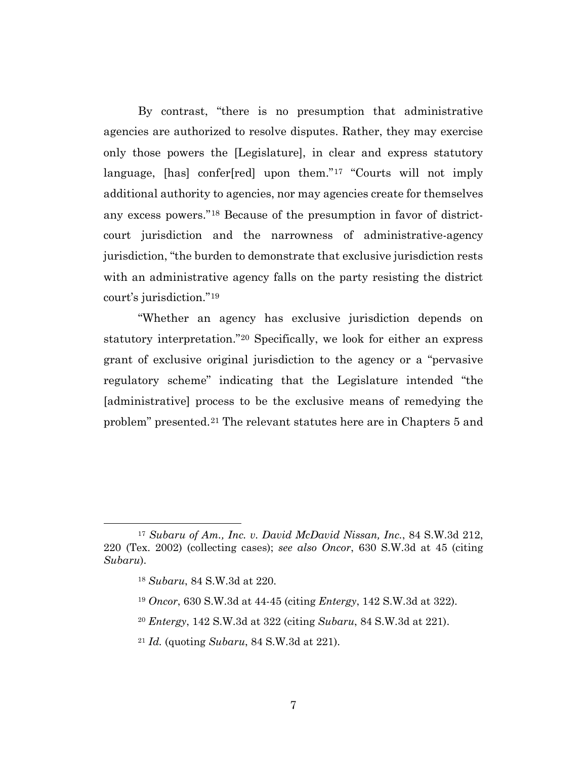By contrast, "there is no presumption that administrative agencies are authorized to resolve disputes. Rather, they may exercise only those powers the [Legislature], in clear and express statutory language, [has] confer[red] upon them."17 "Courts will not imply additional authority to agencies, nor may agencies create for themselves any excess powers."18 Because of the presumption in favor of districtcourt jurisdiction and the narrowness of administrative-agency jurisdiction, "the burden to demonstrate that exclusive jurisdiction rests with an administrative agency falls on the party resisting the district court's jurisdiction."19

"Whether an agency has exclusive jurisdiction depends on statutory interpretation."20 Specifically, we look for either an express grant of exclusive original jurisdiction to the agency or a "pervasive regulatory scheme" indicating that the Legislature intended "the [administrative] process to be the exclusive means of remedying the problem" presented.21 The relevant statutes here are in Chapters 5 and

<sup>17</sup> *Subaru of Am., Inc. v. David McDavid Nissan, Inc.*, 84 S.W.3d 212, 220 (Tex. 2002) (collecting cases); *see also Oncor*, 630 S.W.3d at 45 (citing *Subaru*).

<sup>18</sup> *Subaru*, 84 S.W.3d at 220.

<sup>19</sup> *Oncor*, 630 S.W.3d at 44-45 (citing *Entergy*, 142 S.W.3d at 322).

<sup>20</sup> *Entergy*, 142 S.W.3d at 322 (citing *Subaru*, 84 S.W.3d at 221).

<sup>21</sup> *Id.* (quoting *Subaru*, 84 S.W.3d at 221).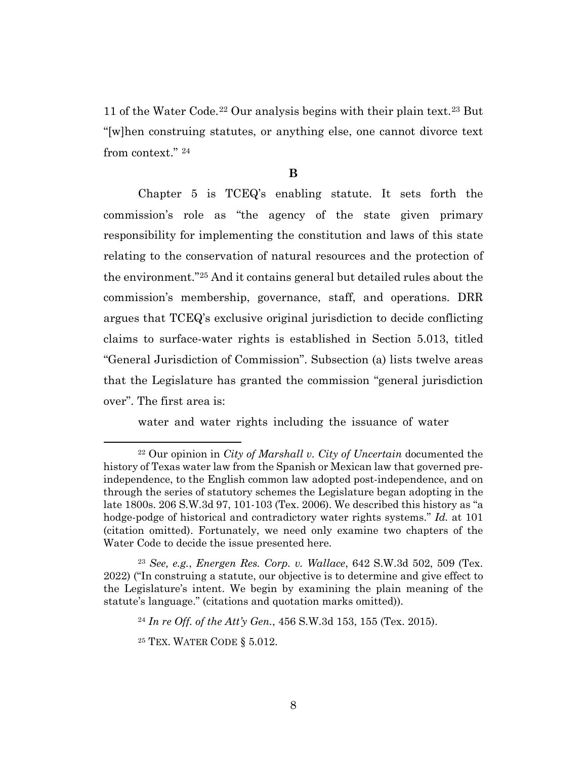11 of the Water Code.22 Our analysis begins with their plain text.23 But "[w]hen construing statutes, or anything else, one cannot divorce text from context." 24

#### **B**

Chapter 5 is TCEQ's enabling statute. It sets forth the commission's role as "the agency of the state given primary responsibility for implementing the constitution and laws of this state relating to the conservation of natural resources and the protection of the environment."25 And it contains general but detailed rules about the commission's membership, governance, staff, and operations. DRR argues that TCEQ's exclusive original jurisdiction to decide conflicting claims to surface-water rights is established in Section 5.013, titled "General Jurisdiction of Commission". Subsection (a) lists twelve areas that the Legislature has granted the commission "general jurisdiction over". The first area is:

water and water rights including the issuance of water

<sup>22</sup> Our opinion in *City of Marshall v. City of Uncertain* documented the history of Texas water law from the Spanish or Mexican law that governed preindependence, to the English common law adopted post-independence, and on through the series of statutory schemes the Legislature began adopting in the late 1800s. 206 S.W.3d 97, 101-103 (Tex. 2006). We described this history as "a hodge-podge of historical and contradictory water rights systems." *Id.* at 101 (citation omitted). Fortunately, we need only examine two chapters of the Water Code to decide the issue presented here.

<sup>23</sup> *See, e.g.*, *Energen Res. Corp. v. Wallace*, 642 S.W.3d 502, 509 (Tex. 2022) ("In construing a statute, our objective is to determine and give effect to the Legislature's intent. We begin by examining the plain meaning of the statute's language." (citations and quotation marks omitted)).

<sup>24</sup> *In re Off. of the Att'y Gen.*, 456 S.W.3d 153, 155 (Tex. 2015).

<sup>25</sup> TEX. WATER CODE § 5.012.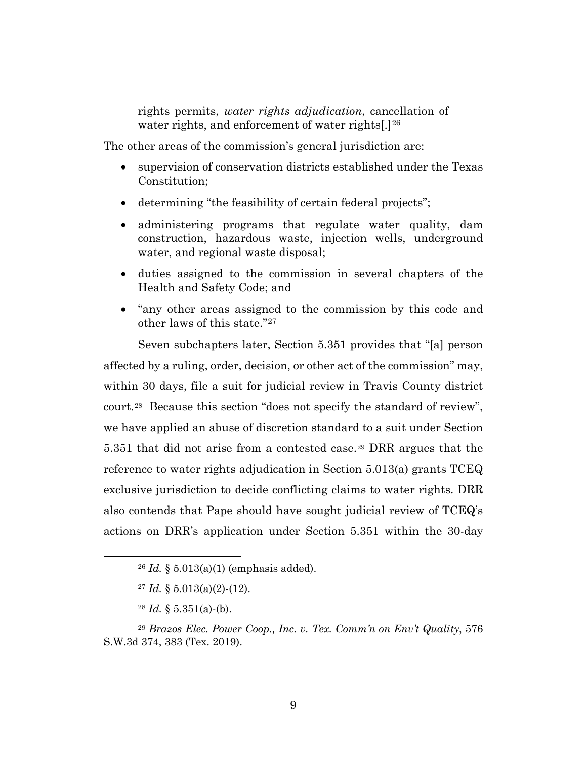rights permits, *water rights adjudication*, cancellation of water rights, and enforcement of water rights[.]<sup>26</sup>

The other areas of the commission's general jurisdiction are:

- supervision of conservation districts established under the Texas Constitution;
- determining "the feasibility of certain federal projects";
- administering programs that regulate water quality, dam construction, hazardous waste, injection wells, underground water, and regional waste disposal;
- duties assigned to the commission in several chapters of the Health and Safety Code; and
- "any other areas assigned to the commission by this code and other laws of this state."27

Seven subchapters later, Section 5.351 provides that "[a] person affected by a ruling, order, decision, or other act of the commission" may, within 30 days, file a suit for judicial review in Travis County district court.28 Because this section "does not specify the standard of review", we have applied an abuse of discretion standard to a suit under Section 5.351 that did not arise from a contested case.29 DRR argues that the reference to water rights adjudication in Section 5.013(a) grants TCEQ exclusive jurisdiction to decide conflicting claims to water rights. DRR also contends that Pape should have sought judicial review of TCEQ's actions on DRR's application under Section 5.351 within the 30-day

 $28$  *Id.* § 5.351(a)-(b).

<sup>26</sup> *Id.* § 5.013(a)(1) (emphasis added).

 $27 \text{ Id. }$  § 5.013(a)(2)-(12).

<sup>29</sup> *Brazos Elec. Power Coop., Inc. v. Tex. Comm'n on Env't Quality*, 576 S.W.3d 374, 383 (Tex. 2019).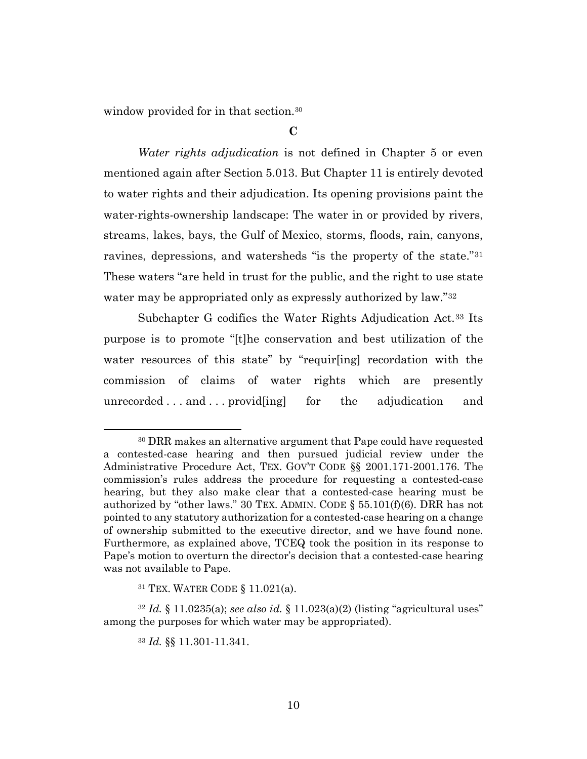window provided for in that section.<sup>30</sup>

**C**

*Water rights adjudication* is not defined in Chapter 5 or even mentioned again after Section 5.013. But Chapter 11 is entirely devoted to water rights and their adjudication. Its opening provisions paint the water-rights-ownership landscape: The water in or provided by rivers, streams, lakes, bays, the Gulf of Mexico, storms, floods, rain, canyons, ravines, depressions, and watersheds "is the property of the state."31 These waters "are held in trust for the public, and the right to use state water may be appropriated only as expressly authorized by law."<sup>32</sup>

Subchapter G codifies the Water Rights Adjudication Act.<sup>33</sup> Its purpose is to promote "[t]he conservation and best utilization of the water resources of this state" by "requir[ing] recordation with the commission of claims of water rights which are presently unrecorded . . . and . . . provid[ing] for the adjudication and

<sup>30</sup> DRR makes an alternative argument that Pape could have requested a contested-case hearing and then pursued judicial review under the Administrative Procedure Act, TEX. GOV'T CODE §§ 2001.171-2001.176. The commission's rules address the procedure for requesting a contested-case hearing, but they also make clear that a contested-case hearing must be authorized by "other laws." 30 TEX. ADMIN. CODE  $\S$  55.101(f)(6). DRR has not pointed to any statutory authorization for a contested-case hearing on a change of ownership submitted to the executive director, and we have found none. Furthermore, as explained above, TCEQ took the position in its response to Pape's motion to overturn the director's decision that a contested-case hearing was not available to Pape.

<sup>31</sup> TEX. WATER CODE § 11.021(a).

<sup>32</sup> *Id.* § 11.0235(a); *see also id.* § 11.023(a)(2) (listing "agricultural uses" among the purposes for which water may be appropriated).

<sup>33</sup> *Id.* §§ 11.301-11.341.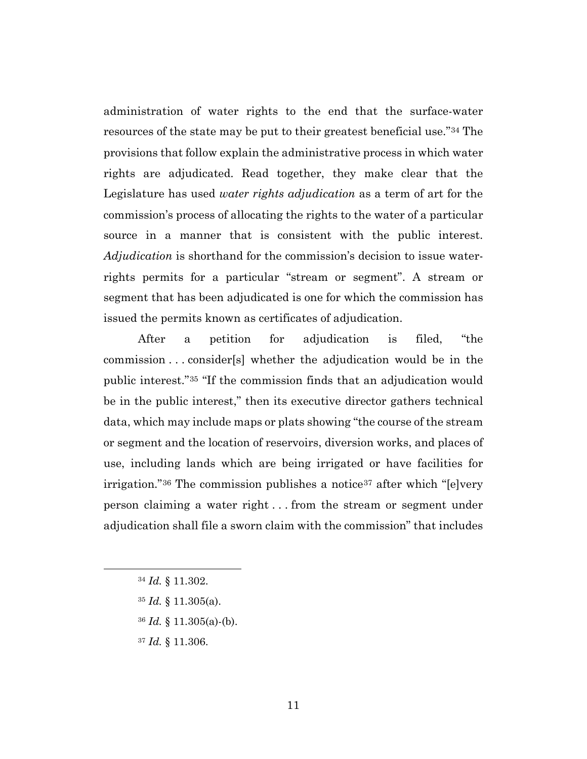administration of water rights to the end that the surface-water resources of the state may be put to their greatest beneficial use."34 The provisions that follow explain the administrative process in which water rights are adjudicated. Read together, they make clear that the Legislature has used *water rights adjudication* as a term of art for the commission's process of allocating the rights to the water of a particular source in a manner that is consistent with the public interest. *Adjudication* is shorthand for the commission's decision to issue waterrights permits for a particular "stream or segment". A stream or segment that has been adjudicated is one for which the commission has issued the permits known as certificates of adjudication.

After a petition for adjudication is filed, "the commission . . . consider[s] whether the adjudication would be in the public interest."35 "If the commission finds that an adjudication would be in the public interest," then its executive director gathers technical data, which may include maps or plats showing "the course of the stream or segment and the location of reservoirs, diversion works, and places of use, including lands which are being irrigated or have facilities for irrigation."<sup>36</sup> The commission publishes a notice<sup>37</sup> after which "[e]very person claiming a water right . . . from the stream or segment under adjudication shall file a sworn claim with the commission" that includes

- <sup>35</sup> *Id.* § 11.305(a).
- <sup>36</sup> *Id.* § 11.305(a)-(b).
- <sup>37</sup> *Id.* § 11.306.

<sup>34</sup> *Id.* § 11.302.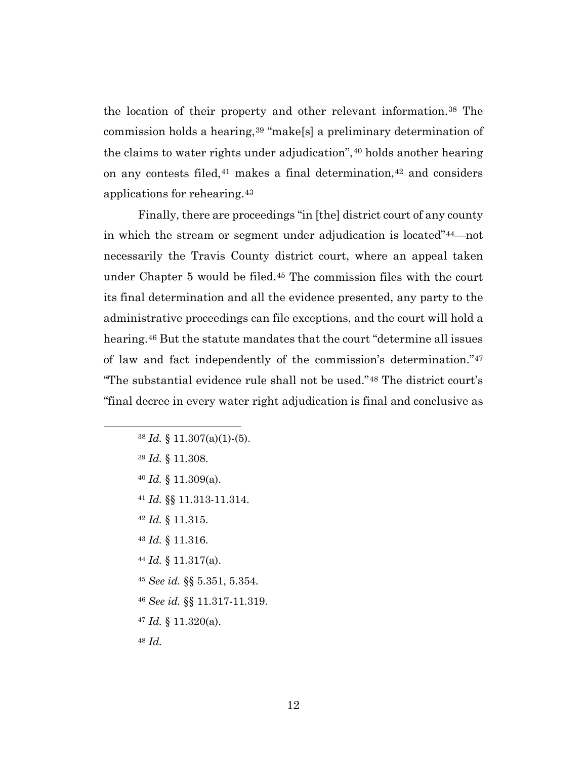the location of their property and other relevant information.38 The commission holds a hearing,<sup>39</sup> "make[s] a preliminary determination of the claims to water rights under adjudication",<sup>40</sup> holds another hearing on any contests filed,  $41$  makes a final determination,  $42$  and considers applications for rehearing.43

Finally, there are proceedings "in [the] district court of any county in which the stream or segment under adjudication is located"44—not necessarily the Travis County district court, where an appeal taken under Chapter 5 would be filed.45 The commission files with the court its final determination and all the evidence presented, any party to the administrative proceedings can file exceptions, and the court will hold a hearing.46 But the statute mandates that the court "determine all issues of law and fact independently of the commission's determination."47 "The substantial evidence rule shall not be used."48 The district court's "final decree in every water right adjudication is final and conclusive as

- <sup>39</sup> *Id.* § 11.308.
- <sup>40</sup> *Id.* § 11.309(a).
- <sup>41</sup> *Id.* §§ 11.313-11.314.
- <sup>42</sup> *Id.* § 11.315.
- <sup>43</sup> *Id.* § 11.316.
- <sup>44</sup> *Id.* § 11.317(a).
- <sup>45</sup> *See id.* §§ 5.351, 5.354.
- <sup>46</sup> *See id.* §§ 11.317-11.319.
- <sup>47</sup> *Id.* § 11.320(a).

<sup>48</sup> *Id.*

<sup>38</sup> *Id.* § 11.307(a)(1)-(5).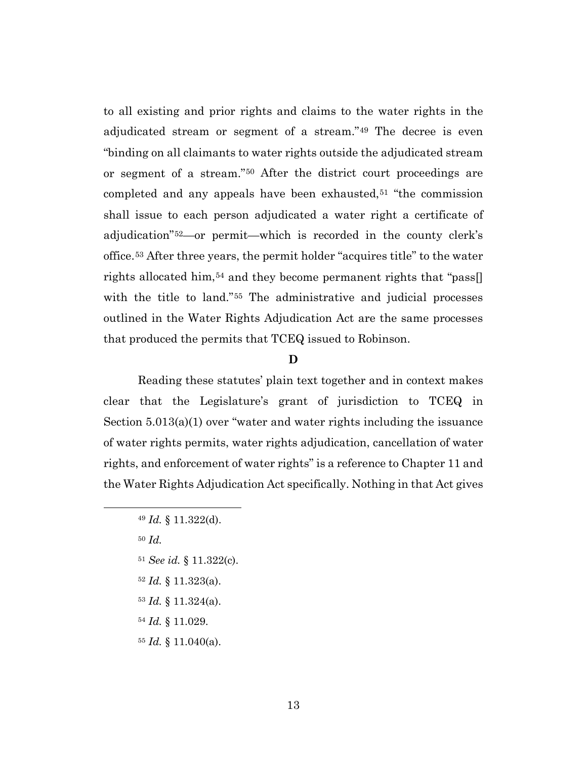to all existing and prior rights and claims to the water rights in the adjudicated stream or segment of a stream."49 The decree is even "binding on all claimants to water rights outside the adjudicated stream or segment of a stream."50 After the district court proceedings are completed and any appeals have been exhausted,<sup>51</sup> "the commission shall issue to each person adjudicated a water right a certificate of adjudication"52—or permit—which is recorded in the county clerk's office.53 After three years, the permit holder "acquires title" to the water rights allocated him,<sup>54</sup> and they become permanent rights that "pass. with the title to land."<sup>55</sup> The administrative and judicial processes outlined in the Water Rights Adjudication Act are the same processes that produced the permits that TCEQ issued to Robinson.

#### **D**

Reading these statutes' plain text together and in context makes clear that the Legislature's grant of jurisdiction to TCEQ in Section  $5.013(a)(1)$  over "water and water rights including the issuance of water rights permits, water rights adjudication, cancellation of water rights, and enforcement of water rights" is a reference to Chapter 11 and the Water Rights Adjudication Act specifically. Nothing in that Act gives

- <sup>51</sup> *See id.* § 11.322(c).
- <sup>52</sup> *Id.* § 11.323(a).
- <sup>53</sup> *Id.* § 11.324(a).
- <sup>54</sup> *Id.* § 11.029.
- <sup>55</sup> *Id.* § 11.040(a).

<sup>49</sup> *Id.* § 11.322(d).

<sup>50</sup> *Id.*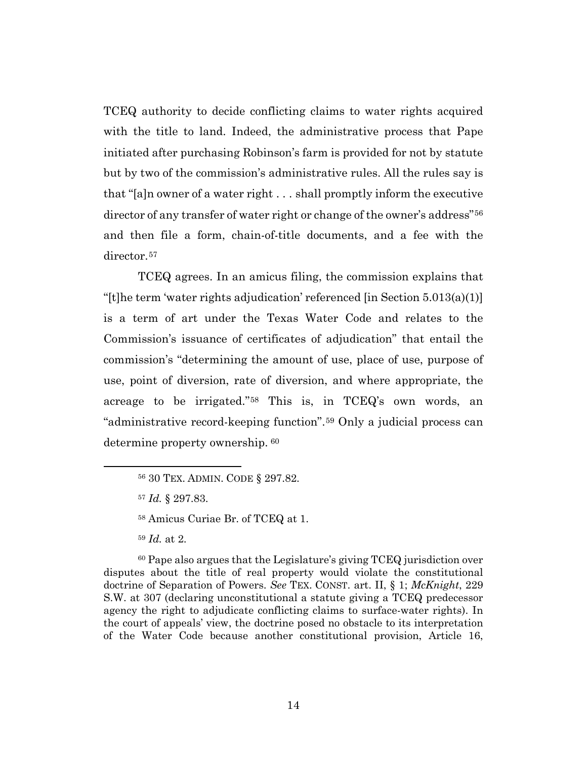TCEQ authority to decide conflicting claims to water rights acquired with the title to land. Indeed, the administrative process that Pape initiated after purchasing Robinson's farm is provided for not by statute but by two of the commission's administrative rules. All the rules say is that "[a]n owner of a water right . . . shall promptly inform the executive director of any transfer of water right or change of the owner's address"<sup>56</sup> and then file a form, chain-of-title documents, and a fee with the director.<sup>57</sup>

TCEQ agrees. In an amicus filing, the commission explains that "[t]he term 'water rights adjudication' referenced [in Section  $5.013(a)(1)$ ] is a term of art under the Texas Water Code and relates to the Commission's issuance of certificates of adjudication" that entail the commission's "determining the amount of use, place of use, purpose of use, point of diversion, rate of diversion, and where appropriate, the acreage to be irrigated."58 This is, in TCEQ's own words, an "administrative record-keeping function".59 Only a judicial process can determine property ownership. <sup>60</sup>

<sup>60</sup> Pape also argues that the Legislature's giving TCEQ jurisdiction over disputes about the title of real property would violate the constitutional doctrine of Separation of Powers. *See* TEX. CONST. art. II, § 1; *McKnight*, 229 S.W. at 307 (declaring unconstitutional a statute giving a TCEQ predecessor agency the right to adjudicate conflicting claims to surface-water rights). In the court of appeals' view, the doctrine posed no obstacle to its interpretation of the Water Code because another constitutional provision, Article 16,

<sup>56</sup> 30 TEX. ADMIN. CODE § 297.82.

<sup>57</sup> *Id.* § 297.83.

<sup>58</sup> Amicus Curiae Br. of TCEQ at 1.

<sup>59</sup> *Id.* at 2.